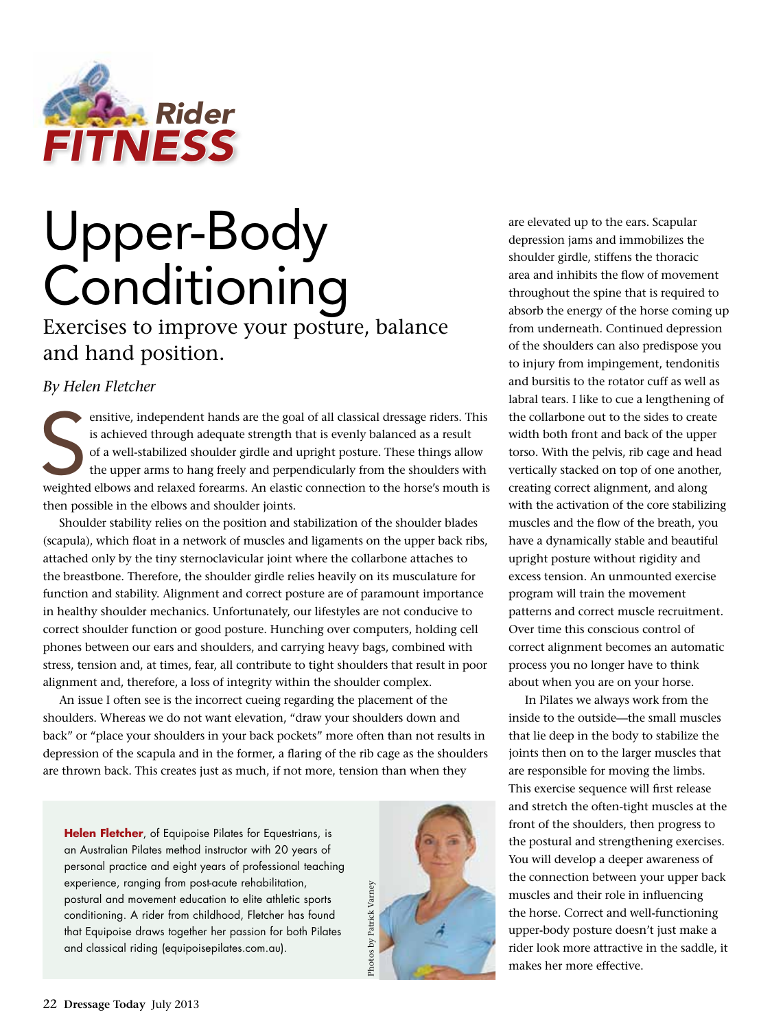

# Upper-Body **Conditioning**

Exercises to improve your posture, balance and hand position.

*By Helen Fletcher*

ensitive, independent hands are the goal of all classical dressage riders. This<br>is achieved through adequate strength that is evenly balanced as a result<br>of a well-stabilized shoulder girdle and upright posture. These thin ensitive, independent hands are the goal of all classical dressage riders. This is achieved through adequate strength that is evenly balanced as a result of a well-stabilized shoulder girdle and upright posture. These things allow the upper arms to hang freely and perpendicularly from the shoulders with then possible in the elbows and shoulder joints.

Shoulder stability relies on the position and stabilization of the shoulder blades (scapula), which float in a network of muscles and ligaments on the upper back ribs, attached only by the tiny sternoclavicular joint where the collarbone attaches to the breastbone. Therefore, the shoulder girdle relies heavily on its musculature for function and stability. Alignment and correct posture are of paramount importance in healthy shoulder mechanics. Unfortunately, our lifestyles are not conducive to correct shoulder function or good posture. Hunching over computers, holding cell phones between our ears and shoulders, and carrying heavy bags, combined with stress, tension and, at times, fear, all contribute to tight shoulders that result in poor alignment and, therefore, a loss of integrity within the shoulder complex.

An issue I often see is the incorrect cueing regarding the placement of the shoulders. Whereas we do not want elevation, "draw your shoulders down and back" or "place your shoulders in your back pockets" more often than not results in depression of the scapula and in the former, a flaring of the rib cage as the shoulders are thrown back. This creates just as much, if not more, tension than when they

**Helen Fletcher**, of Equipoise Pilates for Equestrians, is an Australian Pilates method instructor with 20 years of personal practice and eight years of professional teaching experience, ranging from post-acute rehabilitation, postural and movement education to elite athletic sports conditioning. A rider from childhood, Fletcher has found that Equipoise draws together her passion for both Pilates and classical riding (equipoisepilates.com.au).



are elevated up to the ears. Scapular depression jams and immobilizes the shoulder girdle, stiffens the thoracic area and inhibits the flow of movement throughout the spine that is required to absorb the energy of the horse coming up from underneath. Continued depression of the shoulders can also predispose you to injury from impingement, tendonitis and bursitis to the rotator cuff as well as labral tears. I like to cue a lengthening of the collarbone out to the sides to create width both front and back of the upper torso. With the pelvis, rib cage and head vertically stacked on top of one another, creating correct alignment, and along with the activation of the core stabilizing muscles and the flow of the breath, you have a dynamically stable and beautiful upright posture without rigidity and excess tension. An unmounted exercise program will train the movement patterns and correct muscle recruitment. Over time this conscious control of correct alignment becomes an automatic process you no longer have to think about when you are on your horse.

In Pilates we always work from the inside to the outside—the small muscles that lie deep in the body to stabilize the joints then on to the larger muscles that are responsible for moving the limbs. This exercise sequence will first release and stretch the often-tight muscles at the front of the shoulders, then progress to the postural and strengthening exercises. You will develop a deeper awareness of the connection between your upper back muscles and their role in influencing the horse. Correct and well-functioning upper-body posture doesn't just make a rider look more attractive in the saddle, it makes her more effective.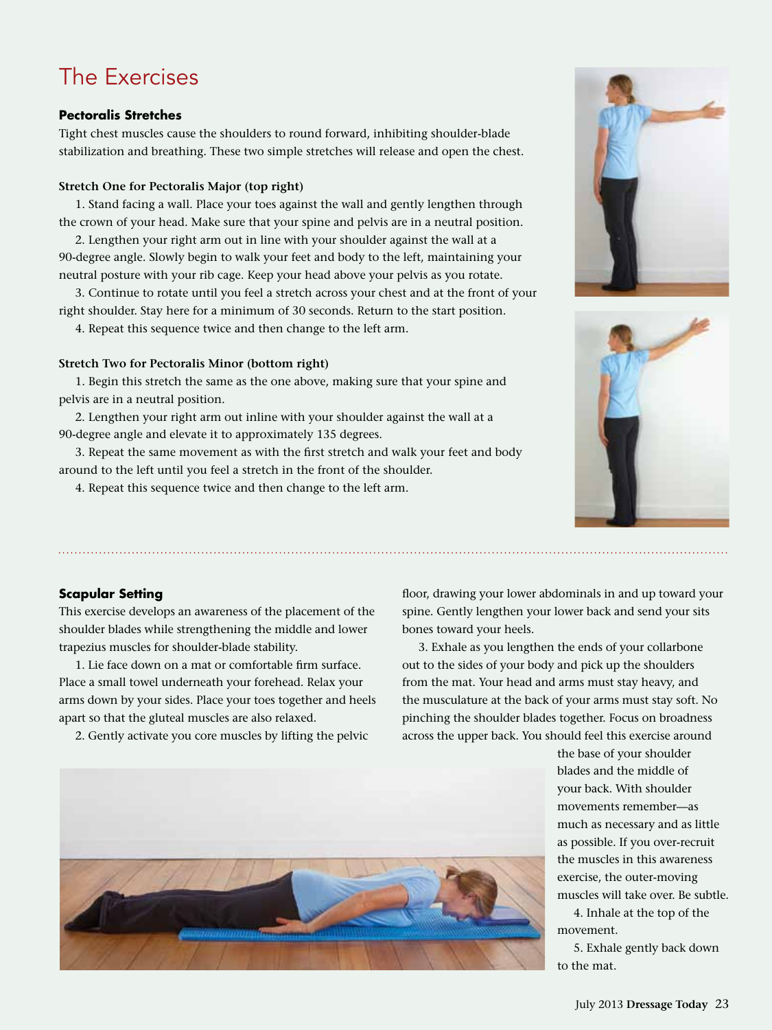# The Exercises

### **Pectoralis Stretches**

Tight chest muscles cause the shoulders to round forward, inhibiting shoulder-blade stabilization and breathing. These two simple stretches will release and open the chest.

#### **Stretch One for Pectoralis Major (top right)**

1. Stand facing a wall. Place your toes against the wall and gently lengthen through the crown of your head. Make sure that your spine and pelvis are in a neutral position.

2. Lengthen your right arm out in line with your shoulder against the wall at a 90-degree angle. Slowly begin to walk your feet and body to the left, maintaining your neutral posture with your rib cage. Keep your head above your pelvis as you rotate.

3. Continue to rotate until you feel a stretch across your chest and at the front of your right shoulder. Stay here for a minimum of 30 seconds. Return to the start position.

4. Repeat this sequence twice and then change to the left arm.

#### **Stretch Two for Pectoralis Minor (bottom right)**

1. Begin this stretch the same as the one above, making sure that your spine and pelvis are in a neutral position.

2. Lengthen your right arm out inline with your shoulder against the wall at a 90-degree angle and elevate it to approximately 135 degrees.

3. Repeat the same movement as with the first stretch and walk your feet and body around to the left until you feel a stretch in the front of the shoulder.

4. Repeat this sequence twice and then change to the left arm.

floor, drawing your lower abdominals in and up toward your spine. Gently lengthen your lower back and send your sits bones toward your heels.

3. Exhale as you lengthen the ends of your collarbone out to the sides of your body and pick up the shoulders from the mat. Your head and arms must stay heavy, and the musculature at the back of your arms must stay soft. No pinching the shoulder blades together. Focus on broadness across the upper back. You should feel this exercise around

> the base of your shoulder blades and the middle of your back. With shoulder movements remember—as much as necessary and as little as possible. If you over-recruit the muscles in this awareness exercise, the outer-moving muscles will take over. Be subtle.

4. Inhale at the top of the movement.

5. Exhale gently back down to the mat.

# **Scapular Setting**

This exercise develops an awareness of the placement of the shoulder blades while strengthening the middle and lower trapezius muscles for shoulder-blade stability.

1. Lie face down on a mat or comfortable firm surface. Place a small towel underneath your forehead. Relax your arms down by your sides. Place your toes together and heels apart so that the gluteal muscles are also relaxed.

2. Gently activate you core muscles by lifting the pelvic







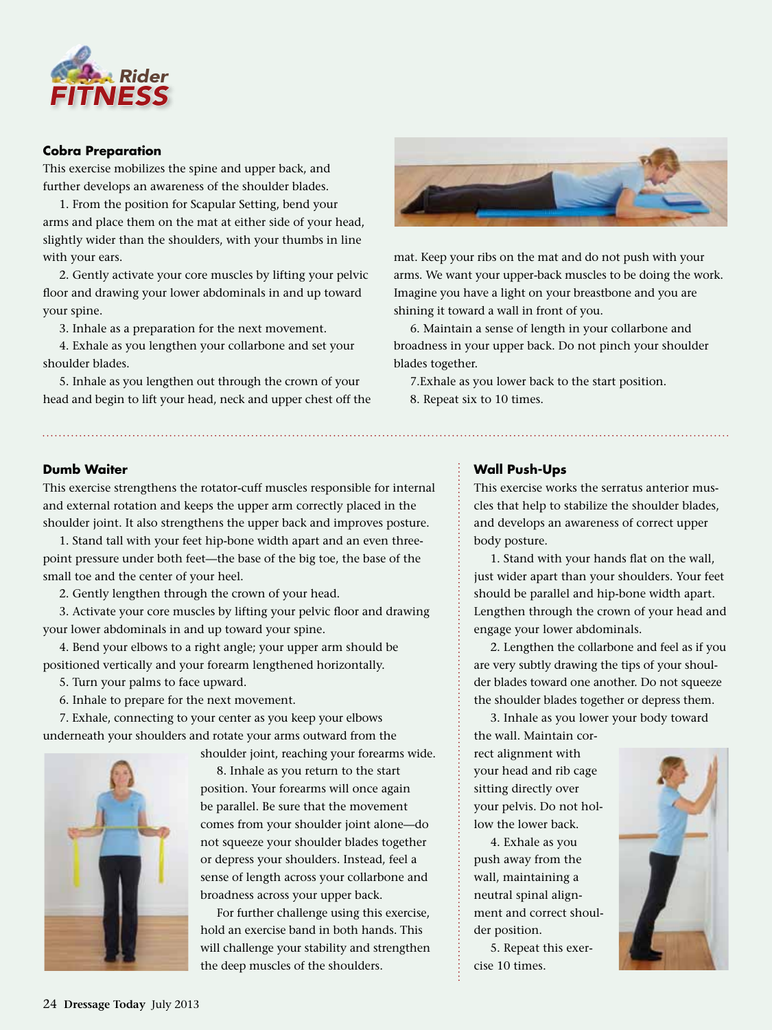

#### **Cobra Preparation**

This exercise mobilizes the spine and upper back, and further develops an awareness of the shoulder blades.

1. From the position for Scapular Setting, bend your arms and place them on the mat at either side of your head, slightly wider than the shoulders, with your thumbs in line with your ears.

2. Gently activate your core muscles by lifting your pelvic floor and drawing your lower abdominals in and up toward your spine.

3. Inhale as a preparation for the next movement.

4. Exhale as you lengthen your collarbone and set your shoulder blades.

5. Inhale as you lengthen out through the crown of your head and begin to lift your head, neck and upper chest off the



mat. Keep your ribs on the mat and do not push with your arms. We want your upper-back muscles to be doing the work. Imagine you have a light on your breastbone and you are shining it toward a wall in front of you.

6. Maintain a sense of length in your collarbone and broadness in your upper back. Do not pinch your shoulder blades together.

7.Exhale as you lower back to the start position. 8. Repeat six to 10 times.

#### **Dumb Waiter**

This exercise strengthens the rotator-cuff muscles responsible for internal and external rotation and keeps the upper arm correctly placed in the shoulder joint. It also strengthens the upper back and improves posture.

1. Stand tall with your feet hip-bone width apart and an even threepoint pressure under both feet—the base of the big toe, the base of the small toe and the center of your heel.

2. Gently lengthen through the crown of your head.

3. Activate your core muscles by lifting your pelvic floor and drawing your lower abdominals in and up toward your spine.

4. Bend your elbows to a right angle; your upper arm should be positioned vertically and your forearm lengthened horizontally.

- 5. Turn your palms to face upward.
- 6. Inhale to prepare for the next movement.

7. Exhale, connecting to your center as you keep your elbows underneath your shoulders and rotate your arms outward from the

shoulder joint, reaching your forearms wide.



8. Inhale as you return to the start position. Your forearms will once again be parallel. Be sure that the movement comes from your shoulder joint alone—do not squeeze your shoulder blades together or depress your shoulders. Instead, feel a sense of length across your collarbone and broadness across your upper back.

For further challenge using this exercise, hold an exercise band in both hands. This will challenge your stability and strengthen the deep muscles of the shoulders.

#### **Wall Push-Ups**

This exercise works the serratus anterior muscles that help to stabilize the shoulder blades, and develops an awareness of correct upper body posture.

1. Stand with your hands flat on the wall, just wider apart than your shoulders. Your feet should be parallel and hip-bone width apart. Lengthen through the crown of your head and engage your lower abdominals.

2. Lengthen the collarbone and feel as if you are very subtly drawing the tips of your shoulder blades toward one another. Do not squeeze the shoulder blades together or depress them.

3. Inhale as you lower your body toward the wall. Maintain cor-

rect alignment with your head and rib cage sitting directly over your pelvis. Do not hollow the lower back.

4. Exhale as you push away from the wall, maintaining a neutral spinal alignment and correct shoulder position.

5. Repeat this exercise 10 times.